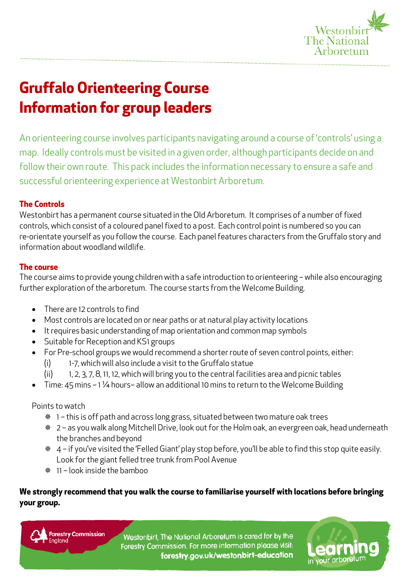

# **Gruffalo Orienteering Course Information for group leaders**

An orienteering course involves participants navigating around a course of 'controls' using a map. Ideally controls must be visited in a given order, although participants decide on and follow their own route. This pack includes the information necessary to ensure a safe and successful orienteering experience at Westonbirt Arboretum.

# **The Controls**

Westonbirt has a permanent course situated in the Old Arboretum. It comprises of a number of fixed controls, which consist of a coloured panel fixed to a post. Each control point is numbered so you can re-orientate yourself as you follow the course. Each panel features characters from the Gruffalo story and information about woodland wildlife.

# **The course**

The course aims to provide young children with a safe introduction to orienteering – while also encouraging further exploration of the arboretum. The course starts from the Welcome Building.

- There are 12 controls to find
- Most controls are located on or near paths or at natural play activity locations
- It requires basic understanding of map orientation and common map symbols
- Suitable for Reception and KS1 groups
- For Pre-school groups we would recommend a shorter route of seven control points, either:
	- (i) 1-7, which will also include a visit to the Gruffalo statue
	- (ii) 1, 2, 3, 7, 8, 11, 12, which will bring you to the central facilities area and picnic tables
- Time: 45 mins 1 ¼ hours– allow an additional 10mins to return to the Welcome Building

Points to watch

- 1 this is off path and across long grass, situated between two mature oak trees
- 2 as you walk along Mitchell Drive, look out for the Holm oak, an evergreen oak, head underneath the branches and beyond
- 4 if you've visited the 'Felled Giant' play stop before, you'll be able to find this stop quite easily. Look for the giant felled tree trunk from Pool Avenue
- 11 look inside the bamboo

# **We strongly recommend that you walk the course to familiarise yourself with locations before bringing your group.**

**Forestry Commission** 

Westonbirt, The National Arboretum is cared for by the Forestry Commission. For more information please visit: forestry.gov.uk/westonbirt-education

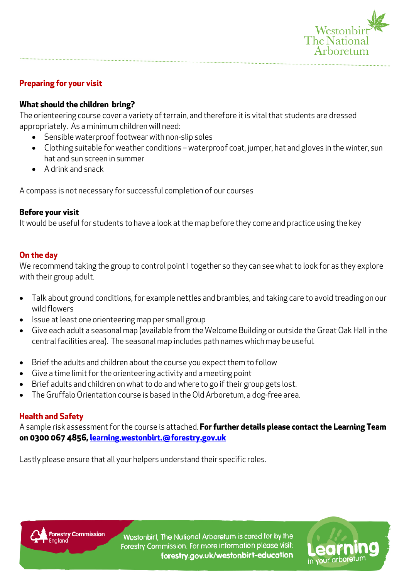

in your arboretur

# **Preparing for your visit**

#### **What should the children bring?**

The orienteering course cover a variety of terrain, and therefore it is vital that students are dressed appropriately. As a minimum children will need:

- Sensible waterproof footwear with non-slip soles
- Clothing suitable for weather conditions waterproof coat, jumper, hat and gloves in the winter, sun hat and sun screen in summer
- A drink and snack

A compass is not necessary for successful completion of our courses

#### **Before your visit**

It would be useful for students to have a look at the map before they come and practice using the key

## **On the day**

We recommend taking the group to control point 1 together so they can see what to look for as they explore with their group adult.

- Talk about ground conditions, for example nettles and brambles, and taking care to avoid treading on our wild flowers
- Issue at least one orienteering map per small group
- Give each adult a seasonal map (available from the Welcome Building or outside the Great Oak Hall in the central facilities area). The seasonal map includes path names which may be useful.
- Brief the adults and children about the course you expect them to follow
- Give a time limit for the orienteering activity and a meeting point
- Brief adults and children on what to do and where to go if their group gets lost.
- The Gruffalo Orientation course is based in the Old Arboretum, a dog-free area.

## **Health and Safety**

A sample risk assessment for the course is attached. **For further details please contact the Learning Team on 0300 067 4856, [learning.westonbirt.@forestry.gov.uk](mailto:learning.westonbirt.@forestry.gov.uk)** 

Lastly please ensure that all your helpers understand their specific roles.

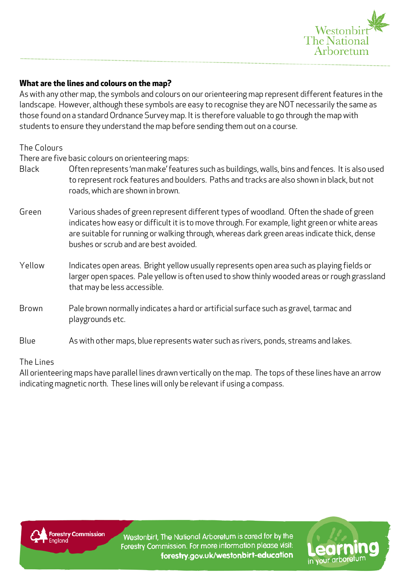

## **What are the lines and colours on the map?**

As with any other map, the symbols and colours on our orienteering map represent different features in the landscape. However, although these symbols are easy to recognise they are NOT necessarily the same as those found on a standard Ordnance Survey map. It is therefore valuable to go through the map with students to ensure they understand the map before sending them out on a course.

The Colours

There are five basic colours on orienteering maps:

- Black Often represents 'man make' features such as buildings, walls, bins and fences. It is also used to represent rock features and boulders. Paths and tracks are also shown in black, but not roads, which are shown in brown.
- Green Various shades of green represent different types of woodland. Often the shade of green indicates how easy or difficult it is to move through. For example, light green or white areas are suitable for running or walking through, whereas dark green areas indicate thick, dense bushes or scrub and are best avoided.
- Yellow Indicates open areas. Bright yellow usually represents open area such as playing fields or larger open spaces. Pale yellow is often used to show thinly wooded areas or rough grassland that may be less accessible.
- Brown Pale brown normally indicates a hard or artificial surface such as gravel, tarmac and playgrounds etc.
- Blue As with other maps, blue represents water such as rivers, ponds, streams and lakes.

The Lines

All orienteering maps have parallel lines drawn vertically on the map. The tops of these lines have an arrow indicating magnetic north. These lines will only be relevant if using a compass.



Westonbirt, The National Arboretum is cared for by the Forestry Commission. For more information please visit: forestry.gov.uk/westonbirt-education

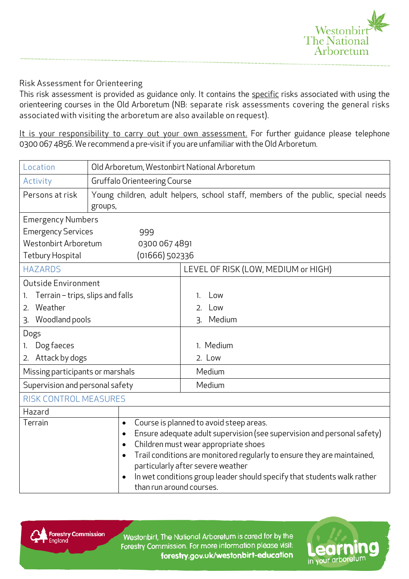

## Risk Assessment for Orienteering

This risk assessment is provided as guidance only. It contains the specific risks associated with using the orienteering courses in the Old Arboretum (NB: separate risk assessments covering the general risks associated with visiting the arboretum are also available on request).

It is your responsibility to carry out your own assessment. For further guidance please telephone 0300 067 4856. We recommend a pre-visit if you are unfamiliar with the Old Arboretum.

| Location                               | Old Arboretum, Westonbirt National Arboretum                                 |                                                                                                                                                                                                                                                                                                                                                       |
|----------------------------------------|------------------------------------------------------------------------------|-------------------------------------------------------------------------------------------------------------------------------------------------------------------------------------------------------------------------------------------------------------------------------------------------------------------------------------------------------|
| Activity                               | <b>Gruffalo Orienteering Course</b>                                          |                                                                                                                                                                                                                                                                                                                                                       |
| Persons at risk                        | groups,                                                                      | Young children, adult helpers, school staff, members of the public, special needs                                                                                                                                                                                                                                                                     |
| <b>Emergency Numbers</b>               |                                                                              |                                                                                                                                                                                                                                                                                                                                                       |
| <b>Emergency Services</b><br>999       |                                                                              |                                                                                                                                                                                                                                                                                                                                                       |
| Westonbirt Arboretum<br>0300 067 4891  |                                                                              |                                                                                                                                                                                                                                                                                                                                                       |
| (01666) 502336<br>Tetbury Hospital     |                                                                              |                                                                                                                                                                                                                                                                                                                                                       |
| <b>HAZARDS</b>                         |                                                                              | LEVEL OF RISK (LOW, MEDIUM or HIGH)                                                                                                                                                                                                                                                                                                                   |
| Outside Environment                    |                                                                              |                                                                                                                                                                                                                                                                                                                                                       |
| Terrain - trips, slips and falls<br>1. |                                                                              | Low<br>1.                                                                                                                                                                                                                                                                                                                                             |
| Weather<br>2.                          |                                                                              | Low<br>2.                                                                                                                                                                                                                                                                                                                                             |
| Woodland pools<br>3.                   |                                                                              | Medium<br>3.                                                                                                                                                                                                                                                                                                                                          |
| Dogs                                   |                                                                              |                                                                                                                                                                                                                                                                                                                                                       |
| Dog faeces<br>1.                       |                                                                              | 1. Medium                                                                                                                                                                                                                                                                                                                                             |
| Attack by dogs<br>2.                   |                                                                              | 2. Low                                                                                                                                                                                                                                                                                                                                                |
| Missing participants or marshals       |                                                                              | Medium                                                                                                                                                                                                                                                                                                                                                |
| Supervision and personal safety        |                                                                              | Medium                                                                                                                                                                                                                                                                                                                                                |
| <b>RISK CONTROL MEASURES</b>           |                                                                              |                                                                                                                                                                                                                                                                                                                                                       |
| Hazard                                 |                                                                              |                                                                                                                                                                                                                                                                                                                                                       |
| Terrain                                | $\bullet$<br>$\bullet$<br>$\bullet$<br>$\bullet$<br>than run around courses. | Course is planned to avoid steep areas.<br>Ensure adequate adult supervision (see supervision and personal safety)<br>Children must wear appropriate shoes<br>Trail conditions are monitored regularly to ensure they are maintained,<br>particularly after severe weather<br>In wet conditions group leader should specify that students walk rather |



Westonbirt, The National Arboretum is cared for by the Forestry Commission. For more information please visit: forestry.gov.uk/westonbirt-education